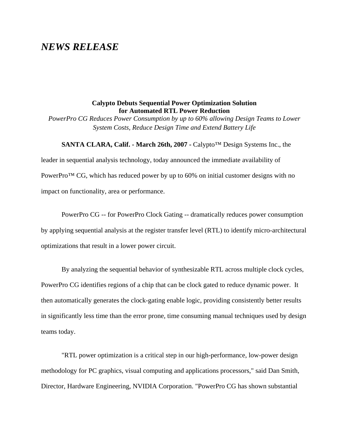# *NEWS RELEASE*

## **Calypto Debuts Sequential Power Optimization Solution for Automated RTL Power Reduction**

*PowerPro CG Reduces Power Consumption by up to 60% allowing Design Teams to Lower System Costs, Reduce Design Time and Extend Battery Life*

#### **SANTA CLARA, Calif. - March 26th, 2007 -** Calypto™ Design Systems Inc., the

leader in sequential analysis technology, today announced the immediate availability of PowerPro<sup>™</sup> CG, which has reduced power by up to 60% on initial customer designs with no impact on functionality, area or performance.

PowerPro CG -- for PowerPro Clock Gating -- dramatically reduces power consumption by applying sequential analysis at the register transfer level (RTL) to identify micro-architectural optimizations that result in a lower power circuit.

By analyzing the sequential behavior of synthesizable RTL across multiple clock cycles, PowerPro CG identifies regions of a chip that can be clock gated to reduce dynamic power. It then automatically generates the clock-gating enable logic, providing consistently better results in significantly less time than the error prone, time consuming manual techniques used by design teams today.

"RTL power optimization is a critical step in our high-performance, low-power design methodology for PC graphics, visual computing and applications processors," said Dan Smith, Director, Hardware Engineering, NVIDIA Corporation. "PowerPro CG has shown substantial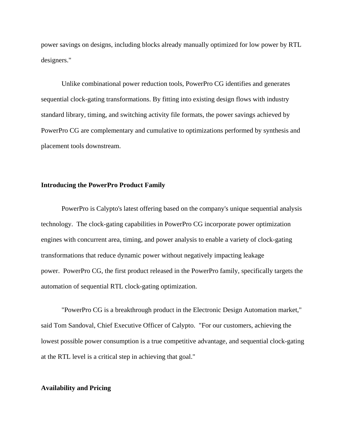power savings on designs, including blocks already manually optimized for low power by RTL designers."

Unlike combinational power reduction tools, PowerPro CG identifies and generates sequential clock-gating transformations. By fitting into existing design flows with industry standard library, timing, and switching activity file formats, the power savings achieved by PowerPro CG are complementary and cumulative to optimizations performed by synthesis and placement tools downstream.

### **Introducing the PowerPro Product Family**

PowerPro is Calypto's latest offering based on the company's unique sequential analysis technology. The clock-gating capabilities in PowerPro CG incorporate power optimization engines with concurrent area, timing, and power analysis to enable a variety of clock-gating transformations that reduce dynamic power without negatively impacting leakage power. PowerPro CG, the first product released in the PowerPro family, specifically targets the automation of sequential RTL clock-gating optimization.

"PowerPro CG is a breakthrough product in the Electronic Design Automation market," said Tom Sandoval, Chief Executive Officer of Calypto. "For our customers, achieving the lowest possible power consumption is a true competitive advantage, and sequential clock-gating at the RTL level is a critical step in achieving that goal."

## **Availability and Pricing**